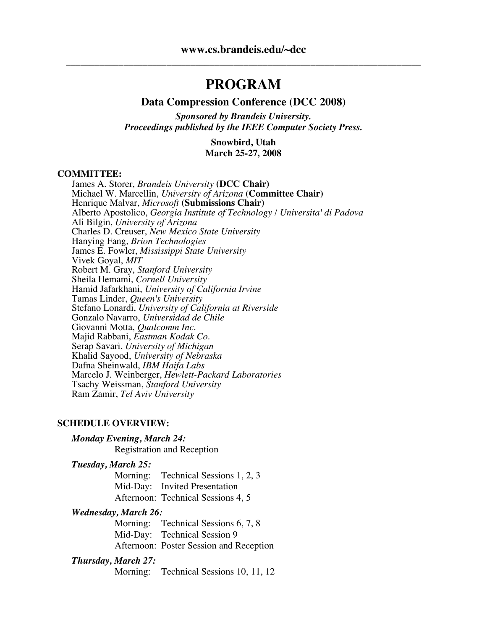# **PROGRAM**

#### **Data Compression Conference (DCC 2008)**

*Sponsored by Brandeis University. Proceedings published by the IEEE Computer Society Press.*

> **Snowbird, Utah March 25-27, 2008**

#### **COMMITTEE:**

James A. Storer, *Brandeis University* **(DCC Chair)** Michael W. Marcellin, *University of Arizona* **(Committee Chair)** Henrique Malvar, *Microsoft* **(Submissions Chair)** Alberto Apostolico, *Georgia Institute of Technology* / *Universita' di Padova* Ali Bilgin, *University of Arizona* Charles D. Creuser, *New Mexico State University* Hanying Fang, *Brion Technologies* James E. Fowler, *Mississippi State University* Vivek Goyal, *MIT* Robert M. Gray, *Stanford University* Sheila Hemami, *Cornell University* Hamid Jafarkhani, *University of California Irvine* Tamas Linder, *Queen's University* Stefano Lonardi, *University of California at Riverside* Gonzalo Navarro, *Universidad de Chile* Majid Rabbani, *Eastman Kodak Co.* Serap Savari, *University of Michigan* Khalid Sayood, *University of Nebraska* Dafna Sheinwald, *IBM Haifa Labs* Marcelo J. Weinberger, *Hewlett-Packard Laboratories* Tsachy Weissman, *Stanford University* Ram Zamir, *Tel Aviv University*

#### **SCHEDULE OVERVIEW:**

#### *Monday Evening, March 24:*

Registration and Reception

*Tuesday, March 25:*

Morning: Technical Sessions 1, 2, 3 Mid-Day: Invited Presentation Afternoon: Technical Sessions 4, 5

#### *Wednesday, March 26:*

Morning: Technical Sessions 6, 7, 8 Mid-Day: Technical Session 9 Afternoon: Poster Session and Reception

#### *Thursday, March 27:*

Morning: Technical Sessions 10, 11, 12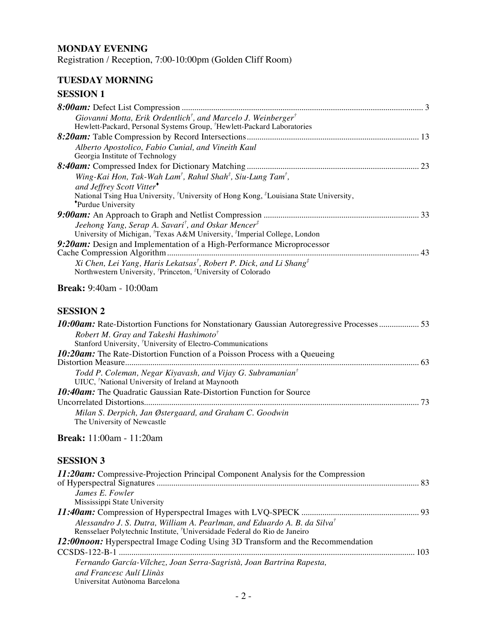### **MONDAY EVENING**

Registration / Reception, 7:00-10:00pm (Golden Cliff Room)

### **TUESDAY MORNING**

# **SESSION 1**

| Giovanni Motta, Erik Ordentlich <sup>†</sup> , and Marcelo J. Weinberger <sup>†</sup>                                                                 |  |
|-------------------------------------------------------------------------------------------------------------------------------------------------------|--|
| Hewlett-Packard, Personal Systems Group, <sup>†</sup> Hewlett-Packard Laboratories                                                                    |  |
|                                                                                                                                                       |  |
| Alberto Apostolico, Fabio Cunial, and Vineith Kaul                                                                                                    |  |
| Georgia Institute of Technology                                                                                                                       |  |
|                                                                                                                                                       |  |
| Wing-Kai Hon, Tak-Wah Lam <sup>†</sup> , Rahul Shah <sup>‡</sup> , Siu-Lung Tam <sup>†</sup> ,                                                        |  |
| and Jeffrey Scott Vitter <sup>*</sup>                                                                                                                 |  |
| National Tsing Hua University, <sup>†</sup> University of Hong Kong, <sup>‡</sup> Louisiana State University,                                         |  |
| *Purdue University                                                                                                                                    |  |
|                                                                                                                                                       |  |
| Jeehong Yang, Serap A. Savari <sup>†</sup> , and Oskar Mencer <sup>‡</sup>                                                                            |  |
| University of Michigan, Texas A&M University, <sup>#</sup> Imperial College, London                                                                   |  |
| 9:20am: Design and Implementation of a High-Performance Microprocessor                                                                                |  |
|                                                                                                                                                       |  |
| Xi Chen, Lei Yang, Haris Lekatsas <sup>†</sup> , Robert P. Dick, and Li Shang <sup>‡</sup>                                                            |  |
| Northwestern University, <sup>†</sup> Princeton, <sup>‡</sup> University of Colorado                                                                  |  |
| <b>Break:</b> 9:40am - 10:00am                                                                                                                        |  |
| <b>SESSION 2</b>                                                                                                                                      |  |
| <b>10:00am:</b> Rate-Distortion Functions for Nonstationary Gaussian Autoregressive Processes 53<br>Robert M. Gray and Takeshi Hashimoto <sup>†</sup> |  |

### **Break:** 11:00am - 11:20am

| 11:20am: Compressive-Projection Principal Component Analysis for the Compression        |  |
|-----------------------------------------------------------------------------------------|--|
|                                                                                         |  |
| James E. Fowler                                                                         |  |
| Mississippi State University                                                            |  |
|                                                                                         |  |
| Alessandro J. S. Dutra, William A. Pearlman, and Eduardo A. B. da Silva <sup>†</sup>    |  |
| Rensselaer Polytechnic Institute, 'Universidade Federal do Rio de Janeiro               |  |
| <b>12:00 noon:</b> Hyperspectral Image Coding Using 3D Transform and the Recommendation |  |
|                                                                                         |  |
| Fernando García-Vílchez, Joan Serra-Sagristà, Joan Bartrina Rapesta,                    |  |
| and Francesc Aulí Llinàs                                                                |  |
| Universitat Autònoma Barcelona                                                          |  |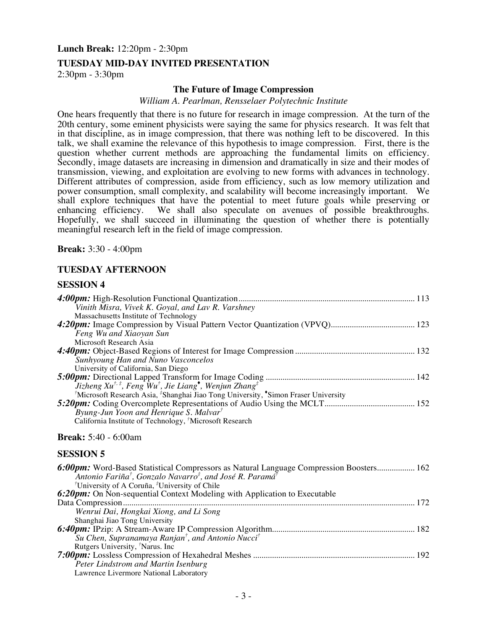#### **Lunch Break:** 12:20pm - 2:30pm

#### **TUESDAY MID-DAY INVITED PRESENTATION**

2:30pm - 3:30pm

#### **The Future of Image Compression**

#### *William A. Pearlman, Rensselaer Polytechnic Institute*

One hears frequently that there is no future for research in image compression. At the turn of the 20th century, some eminent physicists were saying the same for physics research. It was felt that in that discipline, as in image compression, that there was nothing left to be discovered. In this talk, we shall examine the relevance of this hypothesis to image compression. First, there is the question whether current methods are approaching the fundamental limits on efficiency. Secondly, image datasets are increasing in dimension and dramatically in size and their modes of transmission, viewing, and exploitation are evolving to new forms with advances in technology. Different attributes of compression, aside from efficiency, such as low memory utilization and power consumption, small complexity, and scalability will become increasingly important. We shall explore techniques that have the potential to meet future goals while preserving or enhancing efficiency. We shall also speculate on avenues of possible breakthroughs. Hopefully, we shall succeed in illuminating the question of whether there is potentially meaningful research left in the field of image compression.

**Break:** 3:30 - 4:00pm

#### **TUESDAY AFTERNOON**

#### **SESSION 4**

| Vinith Misra, Vivek K. Goyal, and Lav R. Varshney                                                                      |  |
|------------------------------------------------------------------------------------------------------------------------|--|
| Massachusetts Institute of Technology                                                                                  |  |
|                                                                                                                        |  |
| Feng Wu and Xiaoyan Sun                                                                                                |  |
| Microsoft Research Asia                                                                                                |  |
|                                                                                                                        |  |
| Sunhyoung Han and Nuno Vasconcelos                                                                                     |  |
| University of California, San Diego                                                                                    |  |
|                                                                                                                        |  |
| Jizheng Xu <sup>†, ‡</sup> , Feng $\hat{W}u^{\dagger}$ , Jie Liang <sup>*</sup> , Wenjun Zhang <sup>‡</sup>            |  |
| <sup>†</sup> Microsoft Research Asia, <sup>‡</sup> Shanghai Jiao Tong University, <sup>*</sup> Simon Fraser University |  |
|                                                                                                                        |  |
| Byung-Jun Yoon and Henrique S. Malvar <sup>†</sup>                                                                     |  |
| California Institute of Technology, <sup>†</sup> Microsoft Research                                                    |  |

#### **Break:** 5:40 - 6:00am

| <b>6:00pm:</b> Word-Based Statistical Compressors as Natural Language Compression Boosters 162<br>Antonio Fariña <sup>†</sup> , Gonzalo Navarro <sup>‡</sup> , and José R. Paramá <sup>†</sup> |
|------------------------------------------------------------------------------------------------------------------------------------------------------------------------------------------------|
|                                                                                                                                                                                                |
| <sup>†</sup> University of A Coruña, <sup>‡</sup> University of Chile                                                                                                                          |
| 6:20pm: On Non-sequential Context Modeling with Application to Executable                                                                                                                      |
| 172                                                                                                                                                                                            |
| Wenrui Dai, Hongkai Xiong, and Li Song                                                                                                                                                         |
| Shanghai Jiao Tong University                                                                                                                                                                  |
|                                                                                                                                                                                                |
| Su Chen, Supranamaya Ranjan <sup>†</sup> , and Antonio Nucci <sup>†</sup>                                                                                                                      |
| Rutgers University, <sup>†</sup> Narus. Inc                                                                                                                                                    |
|                                                                                                                                                                                                |
| Peter Lindstrom and Martin Isenburg                                                                                                                                                            |
| Lawrence Livermore National Laboratory                                                                                                                                                         |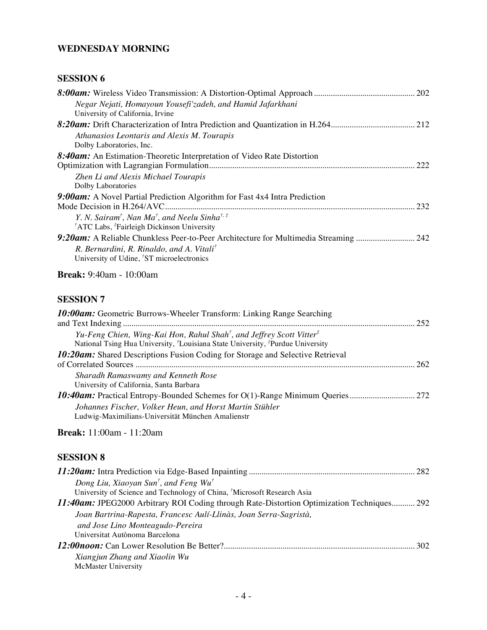### **WEDNESDAY MORNING**

### **SESSION 6**

| 222 |     |
|-----|-----|
|     |     |
|     | 232 |
|     |     |
|     |     |
|     |     |
|     |     |
|     |     |
|     |     |

# **Break:** 9:40am - 10:00am

# **SESSION 7**

| <b>10:00am:</b> Geometric Burrows-Wheeler Transform: Linking Range Searching                                                                                                                           |     |
|--------------------------------------------------------------------------------------------------------------------------------------------------------------------------------------------------------|-----|
|                                                                                                                                                                                                        | 252 |
| Yu-Feng Chien, Wing-Kai Hon, Rahul Shah <sup>†</sup> , and Jeffrey Scott Vitter <sup>‡</sup><br>National Tsing Hua University, <sup>†</sup> Louisiana State University, <sup>‡</sup> Purdue University |     |
| <b>10:20am:</b> Shared Descriptions Fusion Coding for Storage and Selective Retrieval                                                                                                                  |     |
|                                                                                                                                                                                                        | 262 |
| Sharadh Ramaswamy and Kenneth Rose                                                                                                                                                                     |     |
| University of California, Santa Barbara                                                                                                                                                                |     |
|                                                                                                                                                                                                        |     |
| Johannes Fischer, Volker Heun, and Horst Martin Stühler                                                                                                                                                |     |
| Ludwig-Maximilians-Universität München Amalienstr                                                                                                                                                      |     |

## **Break:** 11:00am - 11:20am

| Dong Liu, Xiaoyan Sun <sup>†</sup> , and Feng Wu <sup>†</sup>                              |     |
|--------------------------------------------------------------------------------------------|-----|
| University of Science and Technology of China, 'Microsoft Research Asia                    |     |
| 11:40am: JPEG2000 Arbitrary ROI Coding through Rate-Distortion Optimization Techniques 292 |     |
| Joan Bartrina-Rapesta, Francesc Aulí-Llinàs, Joan Serra-Sagristà,                          |     |
| and Jose Lino Monteagudo-Pereira                                                           |     |
| Universitat Autònoma Barcelona                                                             |     |
|                                                                                            | 302 |
| Xiangjun Zhang and Xiaolin Wu                                                              |     |
| McMaster University                                                                        |     |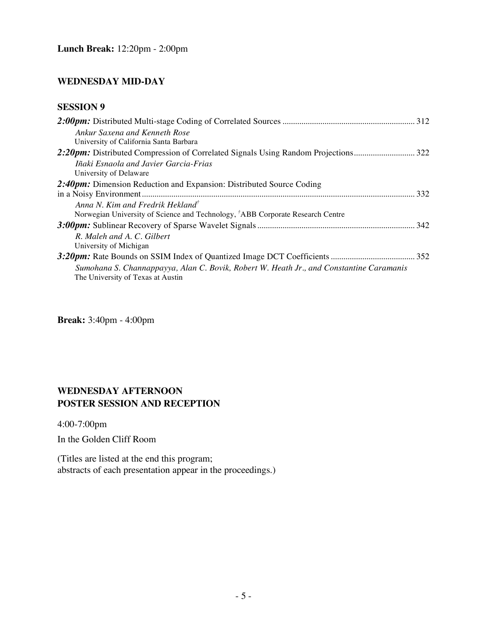### **WEDNESDAY MID-DAY**

# **SESSION 9**

| Ankur Saxena and Kenneth Rose<br>University of California Santa Barbara                                                      |  |
|------------------------------------------------------------------------------------------------------------------------------|--|
|                                                                                                                              |  |
| <i>Iñaki Esnaola and Javier Garcia-Frias</i><br>University of Delaware                                                       |  |
| 2:40pm: Dimension Reduction and Expansion: Distributed Source Coding                                                         |  |
|                                                                                                                              |  |
| Anna N. Kim and Fredrik Hekland <sup>†</sup>                                                                                 |  |
| Norwegian University of Science and Technology, <sup>†</sup> ABB Corporate Research Centre                                   |  |
|                                                                                                                              |  |
| R. Maleh and A. C. Gilbert                                                                                                   |  |
| University of Michigan                                                                                                       |  |
| Sumohana S. Channappayya, Alan C. Bovik, Robert W. Heath Jr., and Constantine Caramanis<br>The University of Texas at Austin |  |
|                                                                                                                              |  |

**Break:** 3:40pm - 4:00pm

# **WEDNESDAY AFTERNOON POSTER SESSION AND RECEPTION**

4:00-7:00pm

In the Golden Cliff Room

(Titles are listed at the end this program; abstracts of each presentation appear in the proceedings.)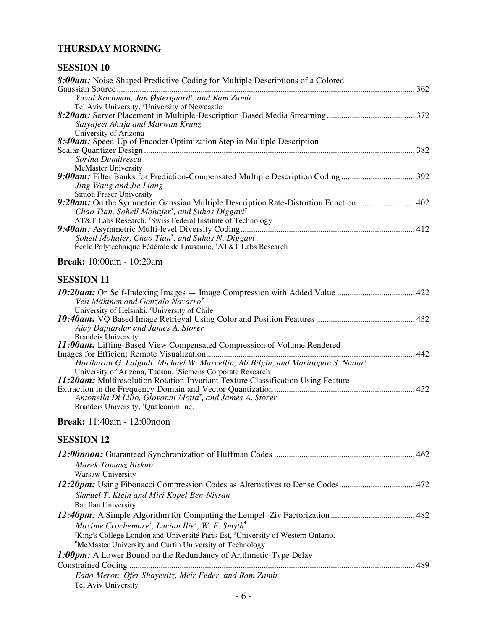### **THURSDAY MORNING**

| 8:00am: Noise-Shaped Predictive Coding for Multiple Descriptions of a Colored                            |  |
|----------------------------------------------------------------------------------------------------------|--|
|                                                                                                          |  |
| Yuval Kochman, Jan Østergaard <sup>†</sup> , and Ram Zamir                                               |  |
| Tel Aviv University, <sup>†</sup> University of Newcastle                                                |  |
|                                                                                                          |  |
| Satyajeet Ahuja and Marwan Krunz                                                                         |  |
| University of Arizona                                                                                    |  |
| 8:40am: Speed-Up of Encoder Optimization Step in Multiple Description                                    |  |
|                                                                                                          |  |
| Sorina Dumitrescu                                                                                        |  |
| <b>McMaster University</b>                                                                               |  |
| Jing Wang and Jie Liang                                                                                  |  |
| Simon Fraser University                                                                                  |  |
| 9:20am: On the Symmetric Gaussian Multiple Description Rate-Distortion Function 402                      |  |
| Chao Tian, Soheil Mohajer <sup>†</sup> , and Suhas Diggavi <sup>†</sup>                                  |  |
| AT&T Labs Research, <sup>†</sup> Swiss Federal Institute of Technology                                   |  |
|                                                                                                          |  |
| Soheil Mohajer, Chao Tian <sup>†</sup> , and Suhas N. Diggavi                                            |  |
| École Polytechnique Fédérale de Lausanne, †AT&T Labs Research                                            |  |
|                                                                                                          |  |
| <b>Break:</b> 10:00am - 10:20am                                                                          |  |
| <b>SESSION 11</b>                                                                                        |  |
|                                                                                                          |  |
| Veli Mäkinen and Gonzalo Navarro <sup>†</sup>                                                            |  |
| University of Helsinki, <sup>†</sup> University of Chile                                                 |  |
|                                                                                                          |  |
| Ajay Daptardar and James A. Storer                                                                       |  |
| <b>Brandeis University</b>                                                                               |  |
| 11:00am: Lifting-Based View Compensated Compression of Volume Rendered                                   |  |
|                                                                                                          |  |
| Hariharan G. Lalgudi, Michael W. Marcellin, Ali Bilgin, and Mariappan S. Nadar <sup>†</sup>              |  |
| University of Arizona, Tucson, 'Siemens Corporate Research                                               |  |
| <b>11:20am:</b> Multiresolution Rotation-Invariant Texture Classification Using Feature                  |  |
|                                                                                                          |  |
| Antonella Di Lillo, Giovanni Motta <sup>†</sup> , and James A. Storer                                    |  |
| Brandeis University, <sup>†</sup> Qualcomm Inc.                                                          |  |
| <b>Break:</b> 11:40am - 12:00noon                                                                        |  |
| <b>SESSION 12</b>                                                                                        |  |
|                                                                                                          |  |
|                                                                                                          |  |
| Marek Tomasz Biskup                                                                                      |  |
| Warsaw University                                                                                        |  |
|                                                                                                          |  |
| Shmuel T. Klein and Miri Kopel Ben-Nissan                                                                |  |
| Bar Ilan University                                                                                      |  |
|                                                                                                          |  |
| Maxime Crochemore <sup>†</sup> , Lucian Ilie <sup>‡</sup> , W. F. Smyth <sup>*</sup>                     |  |
| <sup>†</sup> King's College London and Université Paris-Est, <sup>‡</sup> University of Western Ontario, |  |
|                                                                                                          |  |
| *McMaster University and Curtin University of Technology                                                 |  |
| <b>1:00pm:</b> A Lower Bound on the Redundancy of Arithmetic-Type Delay                                  |  |
|                                                                                                          |  |
| Eado Meron, Ofer Shayevitz, Meir Feder, and Ram Zamir                                                    |  |
| Tel Aviv University                                                                                      |  |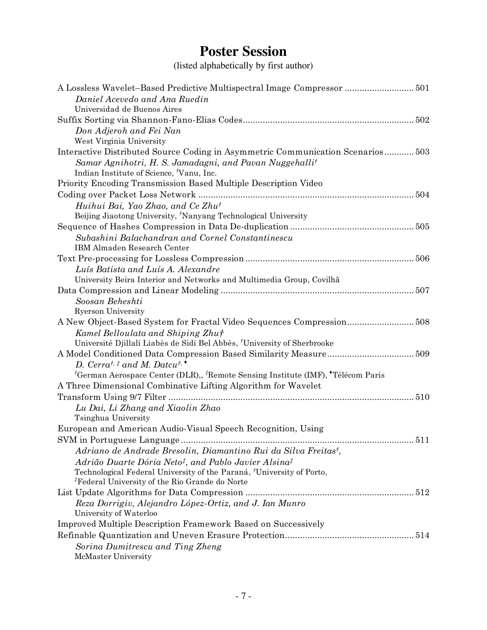# **Poster Session**

(listed alphabetically by first author)

| A Lossless Wavelet-Based Predictive Multispectral Image Compressor  501                                              |
|----------------------------------------------------------------------------------------------------------------------|
| Daniel Acevedo and Ana Ruedin                                                                                        |
| Universidad de Buenos Aires                                                                                          |
|                                                                                                                      |
| Don Adjeroh and Fei Nan                                                                                              |
| West Virginia University                                                                                             |
| Interactive Distributed Source Coding in Asymmetric Communication Scenarios503                                       |
| Samar Agnihotri, H. S. Jamadagni, and Pavan Nuggehalli <sup>†</sup>                                                  |
| Indian Institute of Science, Vanu, Inc.                                                                              |
| Priority Encoding Transmission Based Multiple Description Video                                                      |
|                                                                                                                      |
| Huihui Bai, Yao Zhao, and Ce Zhu <sup>†</sup>                                                                        |
| Beijing Jiaotong University, 'Nanyang Technological University                                                       |
|                                                                                                                      |
| Subashini Balachandran and Cornel Constantinescu                                                                     |
| IBM Almaden Research Center                                                                                          |
|                                                                                                                      |
| Luís Batista and Luís A. Alexandre                                                                                   |
| University Beira Interior and Networks and Multimedia Group, Covilhã                                                 |
|                                                                                                                      |
| Soosan Beheshti                                                                                                      |
| <b>Ryerson University</b>                                                                                            |
| A New Object-Based System for Fractal Video Sequences Compression508                                                 |
| Kamel Belloulata and Shiping Zhut                                                                                    |
| Université Djillali Liabès de Sidi Bel Abbès, 'University of Sherbrooke                                              |
|                                                                                                                      |
| D. Cerrat, $\ddagger$ and M. Datcut, $\cdot$                                                                         |
| <sup>†</sup> German Aerospace Center (DLR),, <sup>‡</sup> Remote Sensing Institute (IMF), <sup>•</sup> Télécom Paris |
| A Three Dimensional Combinative Lifting Algorithm for Wavelet                                                        |
|                                                                                                                      |
| Lu Dai, Li Zhang and Xiaolin Zhao                                                                                    |
| Tsinghua University                                                                                                  |
| European and American Audio-Visual Speech Recognition, Using                                                         |
|                                                                                                                      |
| Adriano de Andrade Bresolin, Diamantino Rui da Silva Freitas <sup>†</sup> ,                                          |
| Adrião Duarte Dória Neto <sup>†</sup> , and Pablo Javier Alsina <sup>†</sup>                                         |
| Technological Federal University of the Paraná, University of Porto,                                                 |
| <sup><i>Federal University of the Rio Grande do Norte</i></sup>                                                      |
|                                                                                                                      |
| Reza Dorrigiv, Alejandro López-Ortiz, and J. Ian Munro                                                               |
| University of Waterloo                                                                                               |
| <b>Improved Multiple Description Framework Based on Successively</b>                                                 |
|                                                                                                                      |
| Sorina Dumitrescu and Ting Zheng                                                                                     |
| McMaster University                                                                                                  |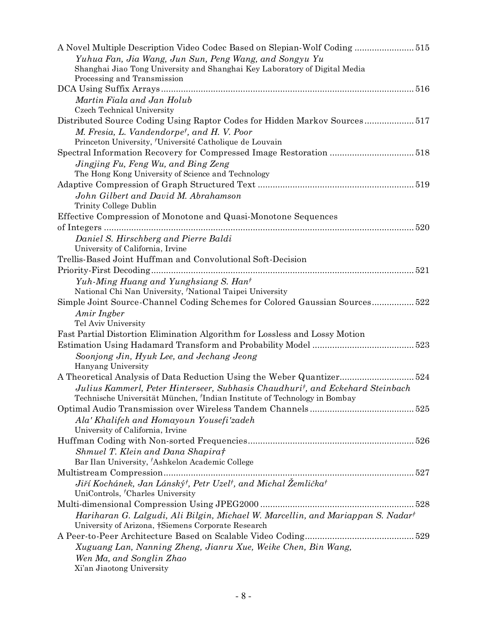| A Novel Multiple Description Video Codec Based on Slepian-Wolf Coding515                           |
|----------------------------------------------------------------------------------------------------|
| Yuhua Fan, Jia Wang, Jun Sun, Peng Wang, and Songyu Yu                                             |
| Shanghai Jiao Tong University and Shanghai Key Laboratory of Digital Media                         |
| Processing and Transmission                                                                        |
|                                                                                                    |
| Martin Fiala and Jan Holub                                                                         |
| Czech Technical University                                                                         |
| Distributed Source Coding Using Raptor Codes for Hidden Markov Sources517                          |
| M. Fresia, L. Vandendorpe <sup>†</sup> , and H. V. Poor                                            |
| Princeton University, 'Université Catholique de Louvain                                            |
|                                                                                                    |
| Jingjing Fu, Feng Wu, and Bing Zeng                                                                |
| The Hong Kong University of Science and Technology                                                 |
|                                                                                                    |
| John Gilbert and David M. Abrahamson                                                               |
| Trinity College Dublin                                                                             |
| Effective Compression of Monotone and Quasi-Monotone Sequences                                     |
|                                                                                                    |
| Daniel S. Hirschberg and Pierre Baldi                                                              |
| University of California, Irvine                                                                   |
| Trellis-Based Joint Huffman and Convolutional Soft-Decision                                        |
|                                                                                                    |
| Yuh-Ming Huang and Yunghsiang S. Hant                                                              |
| National Chi Nan University, 'National Taipei University                                           |
| Simple Joint Source-Channel Coding Schemes for Colored Gaussian Sources 522                        |
| Amir Ingber                                                                                        |
| Tel Aviv University                                                                                |
| Fast Partial Distortion Elimination Algorithm for Lossless and Lossy Motion                        |
|                                                                                                    |
| Soonjong Jin, Hyuk Lee, and Jechang Jeong                                                          |
| Hanyang University                                                                                 |
| A Theoretical Analysis of Data Reduction Using the Weber Quantizer524                              |
| Julius Kammerl, Peter Hinterseer, Subhasis Chaudhuri <sup>†</sup> , and Eckehard Steinbach         |
| Technische Universität München, <sup>†</sup> Indian Institute of Technology in Bombay              |
|                                                                                                    |
| Ala' Khalifeh and Homayoun Yousefi'zadeh                                                           |
| University of California, Irvine                                                                   |
|                                                                                                    |
| Shmuel T. Klein and Dana Shapirat                                                                  |
| Bar Ilan University, 'Ashkelon Academic College                                                    |
|                                                                                                    |
| Jiří Kochánek, Jan Lánský <sup>†</sup> , Petr Uzel <sup>†</sup> , and Michal Žemlička <sup>†</sup> |
| UniControls, <sup>†</sup> Charles University                                                       |
|                                                                                                    |
| Hariharan G. Lalgudi, Ali Bilgin, Michael W. Marcellin, and Mariappan S. Nadar <sup>†</sup>        |
| University of Arizona, †Siemens Corporate Research                                                 |
|                                                                                                    |
| Xuguang Lan, Nanning Zheng, Jianru Xue, Weike Chen, Bin Wang,                                      |
| Wen Ma, and Songlin Zhao                                                                           |
| Xi'an Jiaotong University                                                                          |
|                                                                                                    |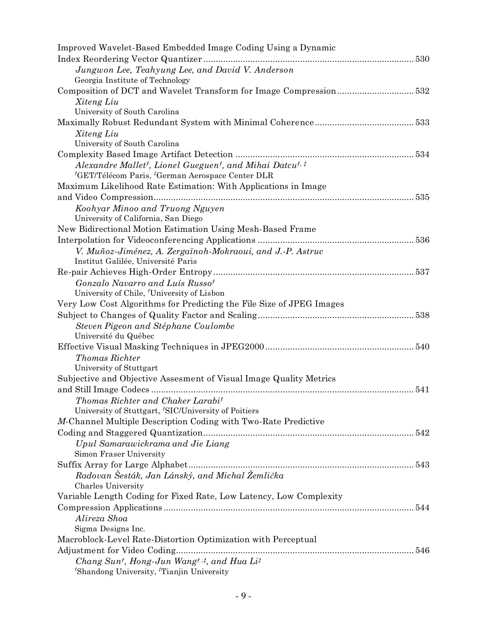| Improved Wavelet-Based Embedded Image Coding Using a Dynamic                                                                                                      |
|-------------------------------------------------------------------------------------------------------------------------------------------------------------------|
|                                                                                                                                                                   |
| Jungwon Lee, Teahyung Lee, and David V. Anderson                                                                                                                  |
| Georgia Institute of Technology                                                                                                                                   |
|                                                                                                                                                                   |
| Xiteng Liu                                                                                                                                                        |
| University of South Carolina                                                                                                                                      |
|                                                                                                                                                                   |
| Xiteng Liu                                                                                                                                                        |
| University of South Carolina                                                                                                                                      |
|                                                                                                                                                                   |
| Alexandre Mallet <sup>†</sup> , Lionel Gueguen <sup>†</sup> , and Mihai Datcu <sup>†, ‡</sup>                                                                     |
| <sup>†</sup> GET/Télécom Paris, <sup>†</sup> German Aerospace Center DLR                                                                                          |
| Maximum Likelihood Rate Estimation: With Applications in Image                                                                                                    |
|                                                                                                                                                                   |
| Koohyar Minoo and Truong Nguyen                                                                                                                                   |
| University of California, San Diego                                                                                                                               |
| New Bidirectional Motion Estimation Using Mesh-Based Frame                                                                                                        |
|                                                                                                                                                                   |
| V. Muñoz-Jiménez, A. Zergaïnoh-Mokraoui, and J.-P. Astruc                                                                                                         |
| Institut Galilée, Université Paris                                                                                                                                |
|                                                                                                                                                                   |
| Gonzalo Navarro and Luís Russo <sup>†</sup>                                                                                                                       |
| University of Chile, 'University of Lisbon                                                                                                                        |
| Very Low Cost Algorithms for Predicting the File Size of JPEG Images                                                                                              |
|                                                                                                                                                                   |
| Steven Pigeon and Stéphane Coulombe                                                                                                                               |
| Université du Québec                                                                                                                                              |
|                                                                                                                                                                   |
| Thomas Richter                                                                                                                                                    |
| University of Stuttgart                                                                                                                                           |
| Subjective and Objective Assesment of Visual Image Quality Metrics                                                                                                |
|                                                                                                                                                                   |
|                                                                                                                                                                   |
| Thomas Richter and Chaker Larabi <sup>†</sup>                                                                                                                     |
| University of Stuttgart, 'SIC/University of Poitiers                                                                                                              |
| M-Channel Multiple Description Coding with Two-Rate Predictive                                                                                                    |
|                                                                                                                                                                   |
| Upul Samarawickrama and Jie Liang                                                                                                                                 |
| Simon Fraser University                                                                                                                                           |
|                                                                                                                                                                   |
| Radovan Šesták, Jan Lánský, and Michal Žemlička                                                                                                                   |
| Charles University                                                                                                                                                |
| Variable Length Coding for Fixed Rate, Low Latency, Low Complexity                                                                                                |
|                                                                                                                                                                   |
| Alireza Shoa                                                                                                                                                      |
| Sigma Designs Inc.                                                                                                                                                |
| Macroblock-Level Rate-Distortion Optimization with Perceptual                                                                                                     |
|                                                                                                                                                                   |
| Chang Sun <sup>†</sup> , Hong-Jun Wang <sup>†</sup> , <sup>‡</sup> , and Hua Li <sup>‡</sup><br><sup>†</sup> Shandong University, <sup>†</sup> Tianjin University |